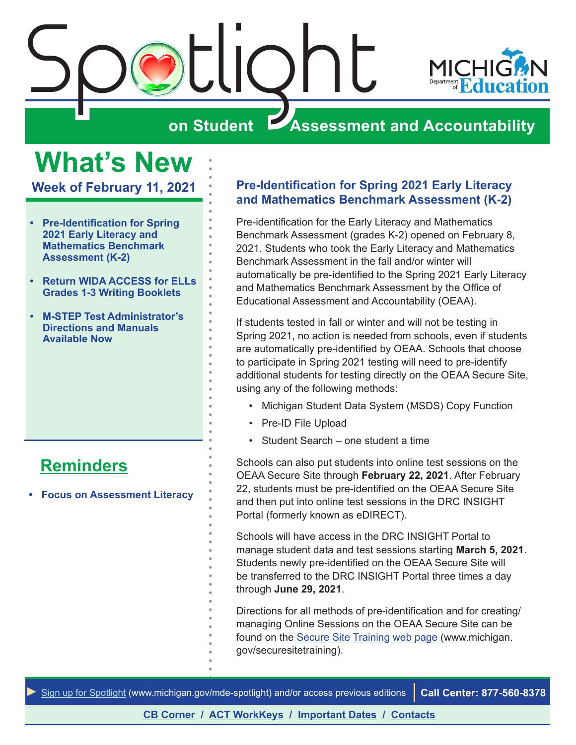<span id="page-0-0"></span>



# **on Student Assessment and Accountability**

# **What's New**

**Week of February 11, 2021**

- **• Pre-Identification for Spring 2021 Early Literacy and Mathematics Benchmark Assessment (K-2)**
- **• [Return WIDA ACCESS for ELLs](#page-1-0) [Grades 1-3 Writing Booklets](#page-1-0)**
- **• [M-STEP Test Administrator's](#page-1-0) [Directions and Manuals](#page-1-0) [Available Now](#page-1-0)**

# **[Reminders](#page-2-0)**

**• [Focus on Assessment Literacy](#page-2-0)**

# **Pre-Identification for Spring 2021 Early Literacy and Mathematics Benchmark Assessment (K-2)**

Pre-identification for the Early Literacy and Mathematics Benchmark Assessment (grades K-2) opened on February 8, 2021. Students who took the Early Literacy and Mathematics Benchmark Assessment in the fall and/or winter will automatically be pre-identified to the Spring 2021 Early Literacy and Mathematics Benchmark Assessment by the Office of Educational Assessment and Accountability (OEAA).

If students tested in fall or winter and will not be testing in Spring 2021, no action is needed from schools, even if students are automatically pre-identified by OEAA. Schools that choose to participate in Spring 2021 testing will need to pre-identify additional students for testing directly on the OEAA Secure Site, using any of the following methods:

- Michigan Student Data System (MSDS) Copy Function
- Pre-ID File Upload
- Student Search one student a time

Schools can also put students into online test sessions on the OEAA Secure Site through **February 22, 2021**. After February 22, students must be pre-identified on the OEAA Secure Site and then put into online test sessions in the DRC INSIGHT Portal (formerly known as eDIRECT).

Schools will have access in the DRC INSIGHT Portal to manage student data and test sessions starting **March 5, 2021**. Students newly pre-identified on the OEAA Secure Site will be transferred to the DRC INSIGHT Portal three times a day through **June 29, 2021**.

Directions for all methods of pre-identification and for creating/ managing Online Sessions on the OEAA Secure Site can be found on the [Secure Site Training web page](http://www.michigan.gov/securesitetraining) (www.michigan. gov/securesitetraining).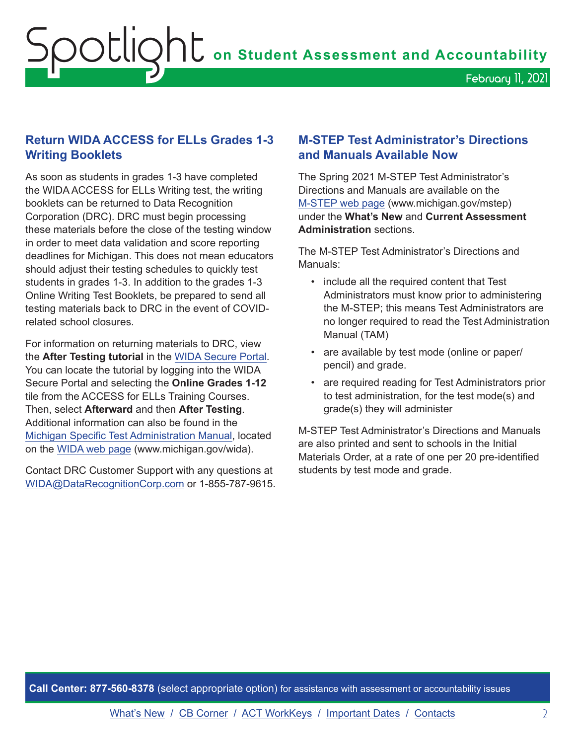## <span id="page-1-0"></span>**Return WIDA ACCESS for ELLs Grades 1-3 Writing Booklets**

As soon as students in grades 1-3 have completed the WIDA ACCESS for ELLs Writing test, the writing booklets can be returned to Data Recognition Corporation (DRC). DRC must begin processing these materials before the close of the testing window in order to meet data validation and score reporting deadlines for Michigan. This does not mean educators should adjust their testing schedules to quickly test students in grades 1-3. In addition to the grades 1-3 Online Writing Test Booklets, be prepared to send all testing materials back to DRC in the event of COVIDrelated school closures.

For information on returning materials to DRC, view the **After Testing tutorial** in the [WIDA Secure Portal.](https://www.wida-ams.us/) You can locate the tutorial by logging into the WIDA Secure Portal and selecting the **Online Grades 1-12**  tile from the ACCESS for ELLs Training Courses. Then, select **Afterward** and then **After Testing**. Additional information can also be found in the [Michigan Specific Test Administration Manual,](https://www.michigan.gov/documents/mde/WIDA_Michigan_Specific_TAM_635431_7.pdf) located on the [WIDA web page](www.michigan.gov/wida) (www.michigan.gov/wida).

Contact DRC Customer Support with any questions at [WIDA@DataRecognitionCorp.com](mailto:WIDA%40DataRecognitionCorp.com?subject=) or 1-855-787-9615.

## **M-STEP Test Administrator's Directions and Manuals Available Now**

The Spring 2021 M-STEP Test Administrator's Directions and Manuals are available on the [M-STEP web page](www.michigan.gov/mstep) (www.michigan.gov/mstep) under the **What's New** and **Current Assessment Administration** sections.

The M-STEP Test Administrator's Directions and Manuals:

- include all the required content that Test Administrators must know prior to administering the M-STEP; this means Test Administrators are no longer required to read the Test Administration Manual (TAM)
- are available by test mode (online or paper/ pencil) and grade.
- are required reading for Test Administrators prior to test administration, for the test mode(s) and grade(s) they will administer

M-STEP Test Administrator's Directions and Manuals are also printed and sent to schools in the Initial Materials Order, at a rate of one per 20 pre-identified students by test mode and grade.

**Call Center: 877-560-8378** (select appropriate option) for assistance with assessment or accountability issues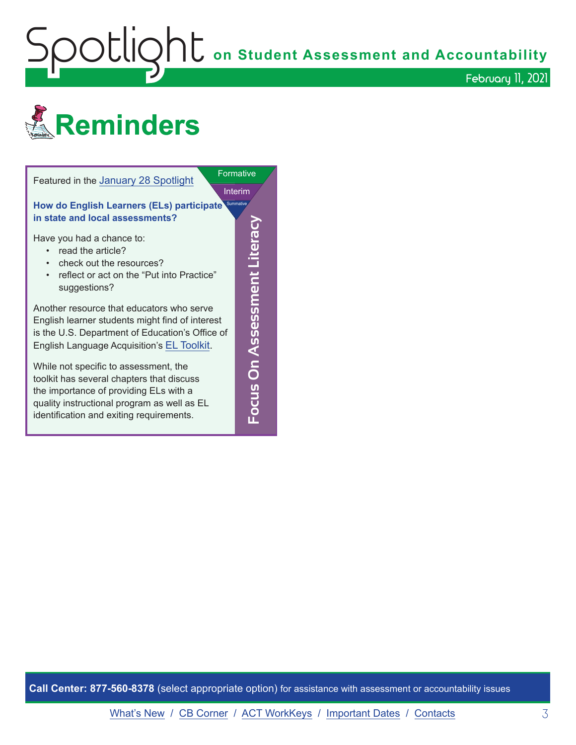<span id="page-2-0"></span>Spotlight **on Student Assessment and Accountability** February 11, 2021





**Call Center: 877-560-8378** (select appropriate option) for assistance with assessment or accountability issues

[What's New](#page-0-0) / [CB Corner](#page-3-0) / [ACT WorkKeys](#page-4-0) / [Important Dates](#page-5-0) / [Contacts](#page-6-0) 3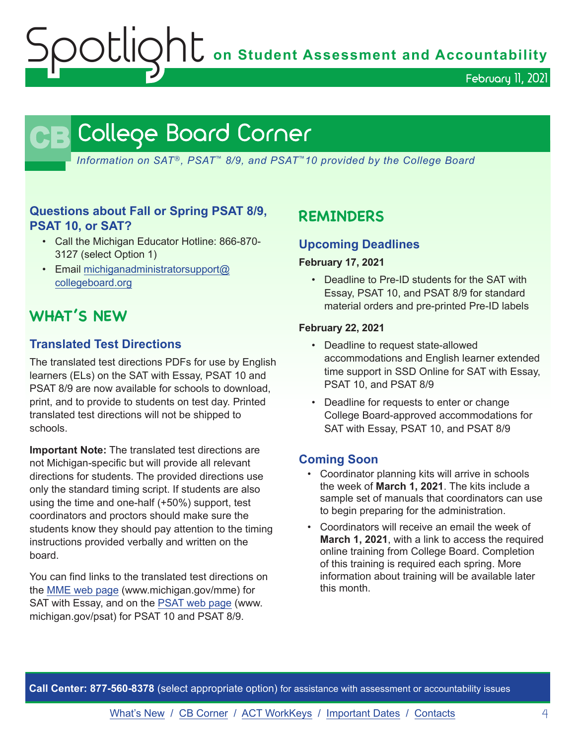$\text{OOL}$   $\overline{\mathsf{Q}}$   $\mathsf{h}\mathsf{t}$  on Student Assessment and Accountability

February 11, 2021

# **CB** College Board Corner

<span id="page-3-0"></span>*Information on SAT*®*, PSAT*™ *8/9, and PSAT*™*10 provided by the College Board*

# **Questions about Fall or Spring PSAT 8/9, PSAT 10, or SAT?**

- Call the Michigan Educator Hotline: 866-870- 3127 (select Option 1)
- Email [michiganadministratorsupport@](mailto:michiganadministratorsupport%40collegeboard.org?subject=) [collegeboard.org](mailto:michiganadministratorsupport%40collegeboard.org?subject=)

# **WHAT'S NEW**

# **Translated Test Directions**

The translated test directions PDFs for use by English learners (ELs) on the SAT with Essay, PSAT 10 and PSAT 8/9 are now available for schools to download, print, and to provide to students on test day. Printed translated test directions will not be shipped to schools.

**Important Note:** The translated test directions are not Michigan-specific but will provide all relevant directions for students. The provided directions use only the standard timing script. If students are also using the time and one-half (+50%) support, test coordinators and proctors should make sure the students know they should pay attention to the timing instructions provided verbally and written on the board.

You can find links to the translated test directions on the [MME web page](www.michigan.gov/mme) (www.michigan.gov/mme) for SAT with Essay, and on the [PSAT web page](http://www.michigan.gov/psat) (www. michigan.gov/psat) for PSAT 10 and PSAT 8/9.

# **REMINDERS**

## **Upcoming Deadlines**

#### **February 17, 2021**

• Deadline to Pre-ID students for the SAT with Essay, PSAT 10, and PSAT 8/9 for standard material orders and pre-printed Pre-ID labels

#### **February 22, 2021**

- Deadline to request state-allowed accommodations and English learner extended time support in SSD Online for SAT with Essay, PSAT 10, and PSAT 8/9
- Deadline for requests to enter or change College Board-approved accommodations for SAT with Essay, PSAT 10, and PSAT 8/9

# **Coming Soon**

- Coordinator planning kits will arrive in schools the week of **March 1, 2021**. The kits include a sample set of manuals that coordinators can use to begin preparing for the administration.
- Coordinators will receive an email the week of **March 1, 2021**, with a link to access the required online training from College Board. Completion of this training is required each spring. More information about training will be available later this month.

**Call Center: 877-560-8378** (select appropriate option) for assistance with assessment or accountability issues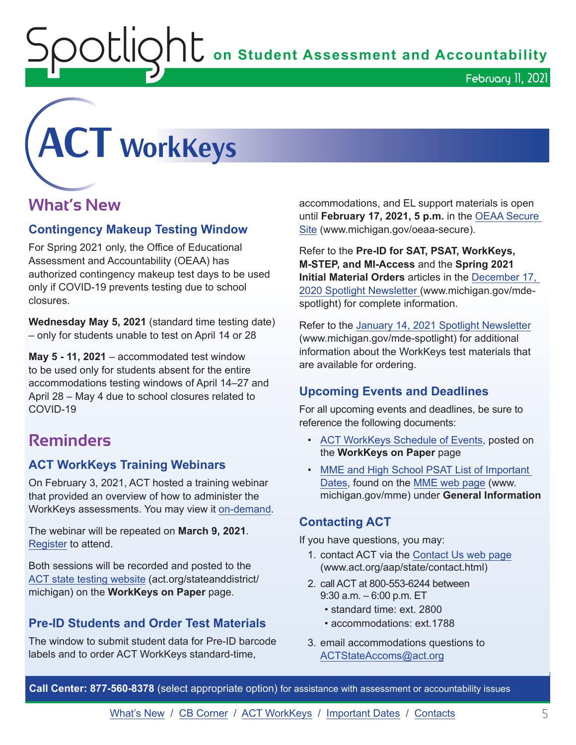$\mathop{\rm O}\nolimits$   $\mathop{\rm Cl}\nolimits$   $\mathop{\rm O}\nolimits$   $\mathop{\rm Cl}\nolimits$  on Student Assessment and Accountability

<span id="page-4-0"></span>**ACT WorkKeys**

# **What's New**

## **Contingency Makeup Testing Window**

For Spring 2021 only, the Office of Educational Assessment and Accountability (OEAA) has authorized contingency makeup test days to be used only if COVID-19 prevents testing due to school closures.

**Wednesday May 5, 2021** (standard time testing date) – only for students unable to test on April 14 or 28

**May 5 - 11, 2021** – accommodated test window to be used only for students absent for the entire accommodations testing windows of April 14–27 and April 28 – May 4 due to school closures related to COVID-19

# **Reminders**

# **ACT WorkKeys Training Webinars**

On February 3, 2021, ACT hosted a training webinar that provided an overview of how to administer the WorkKeys assessments. You may view it [on-demand](https://event.on24.com/wcc/r/2786210/9279DAC5A1986A90716F32200C601BD8).

The webinar will be repeated on **March 9, 2021**. [Register](https://event.on24.com/wcc/r/2786186/CF7F33DC4E50245260EB7C422A035629) to attend.

Both sessions will be recorded and posted to the [ACT state testing website](http://act.org/stateanddistrict/michigan) (act.org/stateanddistrict/ michigan) on the **WorkKeys on Paper** page.

# **Pre-ID Students and Order Test Materials**

The window to submit student data for Pre-ID barcode labels and to order ACT WorkKeys standard-time,

accommodations, and EL support materials is open until **February 17, 2021, 5 p.m.** in the [OEAA Secure](http://www.michigan.gov/oeaa-secure)  [Site](http://www.michigan.gov/oeaa-secure) (www.michigan.gov/oeaa-secure).

February 11, 2021

Refer to the **Pre-ID for SAT, PSAT, WorkKeys, M-STEP, and MI-Access** and the **Spring 2021 Initial Material Orders** articles in the [December 17,](https://www.michigan.gov/documents/mde/Spotlight_12-17-20_710900_7.pdf)  [2020 Spotlight Newsletter \(](https://www.michigan.gov/documents/mde/Spotlight_12-17-20_710900_7.pdf)www.michigan.gov/mdespotlight) for complete information.

Refer to the [January 14, 2021 Spotlight Newsletter](https://www.michigan.gov/documents/mde/Spotlight_1-14-21_713022_7.pdf) (www.michigan.gov/mde-spotlight) for additional information about the WorkKeys test materials that are available for ordering.

# **Upcoming Events and Deadlines**

For all upcoming events and deadlines, be sure to reference the following documents:

- [ACT WorkKeys Schedule of Events](https://content.act.org/michigan/r/YWy2bAxclTdZAcOxrrNErw/root), posted on the **WorkKeys on Paper** page
- MME and High School PSAT List of Important [Dates](https://www.michigan.gov/mde/0,4615,7-140-22709_35150-544814--,00.html), found on the [MME web page](www.michigan.gov/mme) (www. michigan.gov/mme) under **General Information**

# **Contacting ACT**

If you have questions, you may:

- 1. contact ACT via the [Contact Us web page](http://www.act.org/aap/state/contact.html) [\(www.act.org/aap/state/contact.html\)](https://www.act.org/aap/state/contact.html)
- 2. call ACT at 800-553-6244 between 9:30 a.m. – 6:00 p.m. ET
	- standard time: ext. 2800
	- accommodations: ext.1788
- 3. email accommodations questions to [ACTStateAccoms@act.org](mailto:ACTStateAccoms%40act.org?subject=)

**Call Center: 877-560-8378** (select appropriate option) for assistance with assessment or accountability issues

[What's New](#page-0-0) / [CB Corner](#page-3-0) / [ACT WorkKeys](#page-4-0) / [Important Dates](#page-5-0) / [Contacts](#page-6-0) 5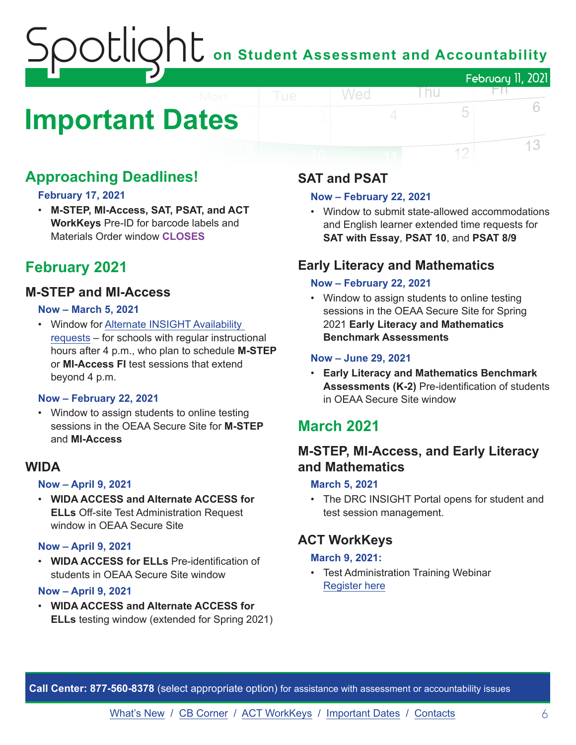# on Student Assessment and Accountability February 11, 2021

# <span id="page-5-0"></span>**Important Dates**

# **Approaching Deadlines!**

#### **February 17, 2021**

• **M-STEP, MI-Access, SAT, PSAT, and ACT WorkKeys** Pre-ID for barcode labels and Materials Order window **CLOSES**

# **February 2021**

# **M-STEP and MI-Access**

#### **Now – March 5, 2021**

• Window for [Alternate INSIGHT Availability](https://www.surveymonkey.com/r/INSIGHTAvailabilityRequest) [requests](https://www.surveymonkey.com/r/INSIGHTAvailabilityRequest) – for schools with regular instructional hours after 4 p.m., who plan to schedule **M-STEP** or **MI-Access FI** test sessions that extend beyond 4 p.m.

#### **Now – February 22, 2021**

• Window to assign students to online testing sessions in the OEAA Secure Site for **M-STEP** and **MI-Access**

## **WIDA**

#### **Now – April 9, 2021**

• **WIDA ACCESS and Alternate ACCESS for ELLs** Off-site Test Administration Request window in OEAA Secure Site

#### **Now – April 9, 2021**

• **WIDA ACCESS for ELLs** Pre-identification of students in OEAA Secure Site window

#### **Now – April 9, 2021**

• **WIDA ACCESS and Alternate ACCESS for ELLs** testing window (extended for Spring 2021)

# **SAT and PSAT**

Wed

#### **Now – February 22, 2021**

• Window to submit state-allowed accommodations and English learner extended time requests for **SAT with Essay**, **PSAT 10**, and **PSAT 8/9**

l nu

FП.

5

12

6

13

# **Early Literacy and Mathematics**

#### **Now – February 22, 2021**

• Window to assign students to online testing sessions in the OEAA Secure Site for Spring 2021 **Early Literacy and Mathematics Benchmark Assessments**

#### **Now – June 29, 2021**

• **Early Literacy and Mathematics Benchmark Assessments (K-2)** Pre-identification of students in OEAA Secure Site window

# **March 2021**

# **M-STEP, MI-Access, and Early Literacy and Mathematics**

#### **March 5, 2021**

• The DRC INSIGHT Portal opens for student and test session management.

# **ACT WorkKeys**

#### **March 9, 2021:**

• Test Administration Training Webinar [Register here](https://event.on24.com/wcc/r/2786186/CF7F33DC4E50245260EB7C422A035629)

**Call Center: 877-560-8378** (select appropriate option) for assistance with assessment or accountability issues